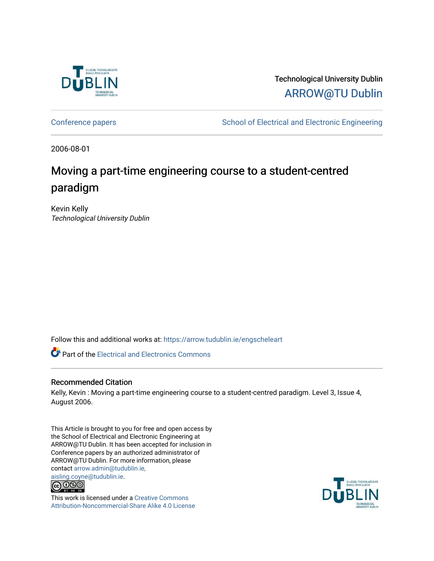

Technological University Dublin [ARROW@TU Dublin](https://arrow.tudublin.ie/) 

[Conference papers](https://arrow.tudublin.ie/engscheleart) **School of Electrical and Electronic Engineering** 

2006-08-01

# Moving a part-time engineering course to a student-centred paradigm

Kevin Kelly Technological University Dublin

Follow this and additional works at: [https://arrow.tudublin.ie/engscheleart](https://arrow.tudublin.ie/engscheleart?utm_source=arrow.tudublin.ie%2Fengscheleart%2F2&utm_medium=PDF&utm_campaign=PDFCoverPages) 

**Part of the [Electrical and Electronics Commons](http://network.bepress.com/hgg/discipline/270?utm_source=arrow.tudublin.ie%2Fengscheleart%2F2&utm_medium=PDF&utm_campaign=PDFCoverPages)** 

#### Recommended Citation

Kelly, Kevin : Moving a part-time engineering course to a student-centred paradigm. Level 3, Issue 4, August 2006.

This Article is brought to you for free and open access by the School of Electrical and Electronic Engineering at ARROW@TU Dublin. It has been accepted for inclusion in Conference papers by an authorized administrator of ARROW@TU Dublin. For more information, please contact [arrow.admin@tudublin.ie,](mailto:arrow.admin@tudublin.ie,%20aisling.coyne@tudublin.ie)  [aisling.coyne@tudublin.ie.](mailto:arrow.admin@tudublin.ie,%20aisling.coyne@tudublin.ie)<br>© 090



This work is licensed under a [Creative Commons](http://creativecommons.org/licenses/by-nc-sa/4.0/) [Attribution-Noncommercial-Share Alike 4.0 License](http://creativecommons.org/licenses/by-nc-sa/4.0/)

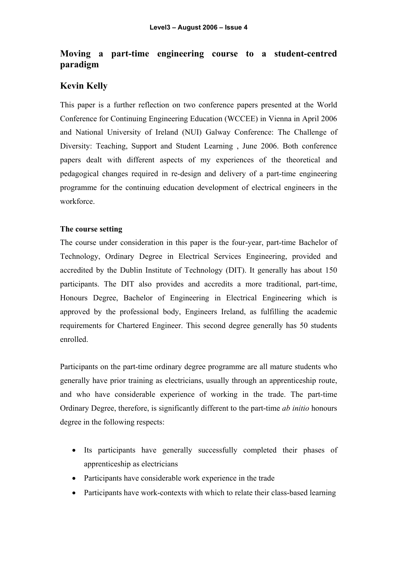## **Moving a part-time engineering course to a student-centred paradigm**

### **Kevin Kelly**

This paper is a further reflection on two conference papers presented at the World Conference for Continuing Engineering Education (WCCEE) in Vienna in April 2006 and National University of Ireland (NUI) Galway Conference: The Challenge of Diversity: Teaching, Support and Student Learning , June 2006. Both conference papers dealt with different aspects of my experiences of the theoretical and pedagogical changes required in re-design and delivery of a part-time engineering programme for the continuing education development of electrical engineers in the workforce.

#### **The course setting**

The course under consideration in this paper is the four-year, part-time Bachelor of Technology, Ordinary Degree in Electrical Services Engineering, provided and accredited by the Dublin Institute of Technology (DIT). It generally has about 150 participants. The DIT also provides and accredits a more traditional, part-time, Honours Degree, Bachelor of Engineering in Electrical Engineering which is approved by the professional body, Engineers Ireland, as fulfilling the academic requirements for Chartered Engineer. This second degree generally has 50 students enrolled.

Participants on the part-time ordinary degree programme are all mature students who generally have prior training as electricians, usually through an apprenticeship route, and who have considerable experience of working in the trade. The part-time Ordinary Degree, therefore, is significantly different to the part-time *ab initio* honours degree in the following respects:

- Its participants have generally successfully completed their phases of apprenticeship as electricians
- Participants have considerable work experience in the trade
- Participants have work-contexts with which to relate their class-based learning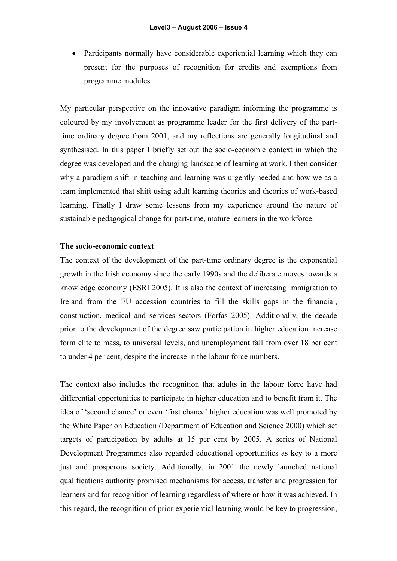• Participants normally have considerable experiential learning which they can present for the purposes of recognition for credits and exemptions from programme modules.

My particular perspective on the innovative paradigm informing the programme is coloured by my involvement as programme leader for the first delivery of the parttime ordinary degree from 2001, and my reflections are generally longitudinal and synthesised. In this paper I briefly set out the socio-economic context in which the degree was developed and the changing landscape of learning at work. I then consider why a paradigm shift in teaching and learning was urgently needed and how we as a team implemented that shift using adult learning theories and theories of work-based learning. Finally I draw some lessons from my experience around the nature of sustainable pedagogical change for part-time, mature learners in the workforce.

#### **The socio-economic context**

The context of the development of the part-time ordinary degree is the exponential growth in the Irish economy since the early 1990s and the deliberate moves towards a knowledge economy (ESRI 2005). It is also the context of increasing immigration to Ireland from the EU accession countries to fill the skills gaps in the financial, construction, medical and services sectors (Forfas 2005). Additionally, the decade prior to the development of the degree saw participation in higher education increase form elite to mass, to universal levels, and unemployment fall from over 18 per cent to under 4 per cent, despite the increase in the labour force numbers.

The context also includes the recognition that adults in the labour force have had differential opportunities to participate in higher education and to benefit from it. The idea of 'second chance' or even 'first chance' higher education was well promoted by the White Paper on Education (Department of Education and Science 2000) which set targets of participation by adults at 15 per cent by 2005. A series of National Development Programmes also regarded educational opportunities as key to a more just and prosperous society. Additionally, in 2001 the newly launched national qualifications authority promised mechanisms for access, transfer and progression for learners and for recognition of learning regardless of where or how it was achieved. In this regard, the recognition of prior experiential learning would be key to progression,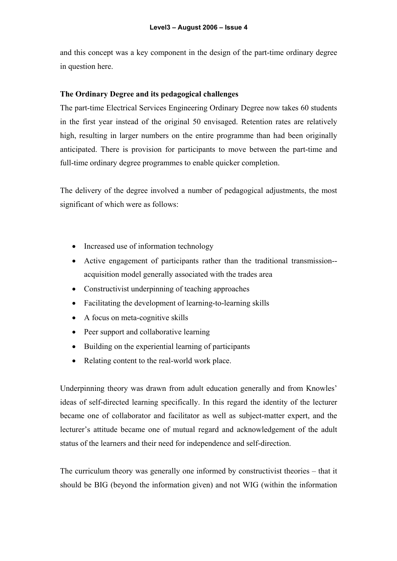and this concept was a key component in the design of the part-time ordinary degree in question here.

#### **The Ordinary Degree and its pedagogical challenges**

The part-time Electrical Services Engineering Ordinary Degree now takes 60 students in the first year instead of the original 50 envisaged. Retention rates are relatively high, resulting in larger numbers on the entire programme than had been originally anticipated. There is provision for participants to move between the part-time and full-time ordinary degree programmes to enable quicker completion.

The delivery of the degree involved a number of pedagogical adjustments, the most significant of which were as follows:

- Increased use of information technology
- Active engagement of participants rather than the traditional transmission- acquisition model generally associated with the trades area
- Constructivist underpinning of teaching approaches
- Facilitating the development of learning-to-learning skills
- A focus on meta-cognitive skills
- Peer support and collaborative learning
- Building on the experiential learning of participants
- Relating content to the real-world work place.

Underpinning theory was drawn from adult education generally and from Knowles' ideas of self-directed learning specifically. In this regard the identity of the lecturer became one of collaborator and facilitator as well as subject-matter expert, and the lecturer's attitude became one of mutual regard and acknowledgement of the adult status of the learners and their need for independence and self-direction.

The curriculum theory was generally one informed by constructivist theories – that it should be BIG (beyond the information given) and not WIG (within the information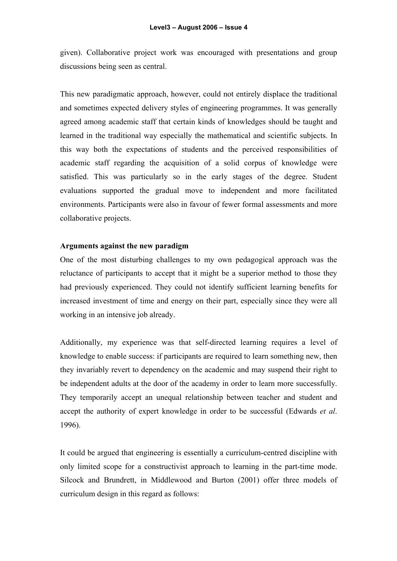given). Collaborative project work was encouraged with presentations and group discussions being seen as central.

This new paradigmatic approach, however, could not entirely displace the traditional and sometimes expected delivery styles of engineering programmes. It was generally agreed among academic staff that certain kinds of knowledges should be taught and learned in the traditional way especially the mathematical and scientific subjects. In this way both the expectations of students and the perceived responsibilities of academic staff regarding the acquisition of a solid corpus of knowledge were satisfied. This was particularly so in the early stages of the degree. Student evaluations supported the gradual move to independent and more facilitated environments. Participants were also in favour of fewer formal assessments and more collaborative projects.

#### **Arguments against the new paradigm**

One of the most disturbing challenges to my own pedagogical approach was the reluctance of participants to accept that it might be a superior method to those they had previously experienced. They could not identify sufficient learning benefits for increased investment of time and energy on their part, especially since they were all working in an intensive job already.

Additionally, my experience was that self-directed learning requires a level of knowledge to enable success: if participants are required to learn something new, then they invariably revert to dependency on the academic and may suspend their right to be independent adults at the door of the academy in order to learn more successfully. They temporarily accept an unequal relationship between teacher and student and accept the authority of expert knowledge in order to be successful (Edwards *et al*. 1996).

It could be argued that engineering is essentially a curriculum-centred discipline with only limited scope for a constructivist approach to learning in the part-time mode. Silcock and Brundrett, in Middlewood and Burton (2001) offer three models of curriculum design in this regard as follows: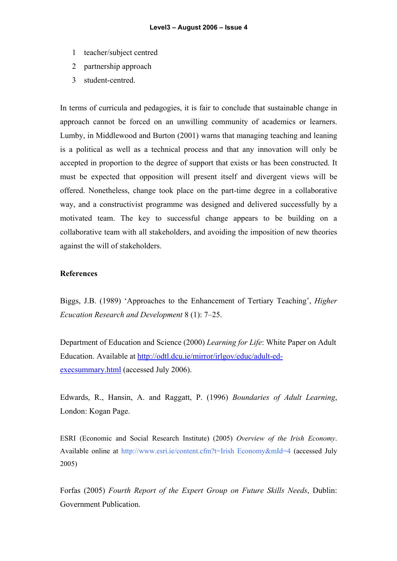- 1 teacher/subject centred
- 2 partnership approach
- 3 student-centred.

In terms of curricula and pedagogies, it is fair to conclude that sustainable change in approach cannot be forced on an unwilling community of academics or learners. Lumby, in Middlewood and Burton (2001) warns that managing teaching and leaning is a political as well as a technical process and that any innovation will only be accepted in proportion to the degree of support that exists or has been constructed. It must be expected that opposition will present itself and divergent views will be offered. Nonetheless, change took place on the part-time degree in a collaborative way, and a constructivist programme was designed and delivered successfully by a motivated team. The key to successful change appears to be building on a collaborative team with all stakeholders, and avoiding the imposition of new theories against the will of stakeholders.

#### **References**

Biggs, J.B. (1989) 'Approaches to the Enhancement of Tertiary Teaching', *Higher Ecucation Research and Development* 8 (1): 7–25.

Department of Education and Science (2000) *Learning for Life*: White Paper on Adult Education. Available at http://odtl.dcu.ie/mirror/irlgov/educ/adult-edexecsummary.html (accessed July 2006).

Edwards, R., Hansin, A. and Raggatt, P. (1996) *Boundaries of Adult Learning*, London: Kogan Page.

ESRI (Economic and Social Research Institute) (2005) *Overview of the Irish Economy*. Available online at http://www.esri.ie/content.cfm?t=Irish Economy&mId=4 (accessed July 2005)

Forfas (2005) *Fourth Report of the Expert Group on Future Skills Needs*, Dublin: Government Publication.